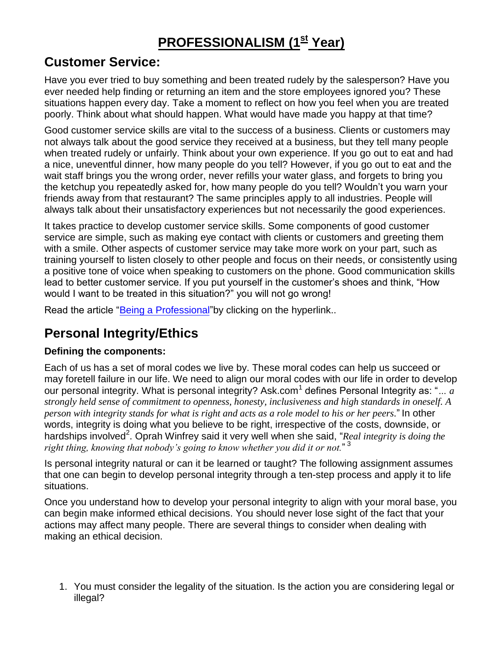# **PROFESSIONALISM (1st Year)**

## **Customer Service:**

Have you ever tried to buy something and been treated rudely by the salesperson? Have you ever needed help finding or returning an item and the store employees ignored you? These situations happen every day. Take a moment to reflect on how you feel when you are treated poorly. Think about what should happen. What would have made you happy at that time?

Good customer service skills are vital to the success of a business. Clients or customers may not always talk about the good service they received at a business, but they tell many people when treated rudely or unfairly. Think about your own experience. If you go out to eat and had a nice, uneventful dinner, how many people do you tell? However, if you go out to eat and the wait staff brings you the wrong order, never refills your water glass, and forgets to bring you the ketchup you repeatedly asked for, how many people do you tell? Wouldn't you warn your friends away from that restaurant? The same principles apply to all industries. People will always talk about their unsatisfactory experiences but not necessarily the good experiences.

It takes practice to develop customer service skills. Some components of good customer service are simple, such as making eye contact with clients or customers and greeting them with a smile. Other aspects of customer service may take more work on your part, such as training yourself to listen closely to other people and focus on their needs, or consistently using a positive tone of voice when speaking to customers on the phone. Good communication skills lead to better customer service. If you put yourself in the customer's shoes and think, "How would I want to be treated in this situation?" you will not go wrong!

Read the article ["Being a Professional"](http://www.wordconstructions.com/articles/business/professional.html) by clicking on the hyperlink..

# **Personal Integrity/Ethics**

### **Defining the components:**

Each of us has a set of moral codes we live by. These moral codes can help us succeed or may foretell failure in our life. We need to align our moral codes with our life in order to develop our personal integrity. What is personal integrity? Ask.com<sup>1</sup> defines Personal Integrity as: "... a *strongly held sense of commitment to openness, honesty, inclusiveness and high standards in oneself. A person with integrity stands for what is right and acts as a role model to his or her peers.*" In other words, integrity is doing what you believe to be right, irrespective of the costs, downside, or hardships involved<sup>2</sup>. Oprah Winfrey said it very well when she said, "*Real integrity is doing the right thing, knowing that nobody's going to know whether you did it or not.*" 3

Is personal integrity natural or can it be learned or taught? The following assignment assumes that one can begin to develop personal integrity through a ten-step process and apply it to life situations.

Once you understand how to develop your personal integrity to align with your moral base, you can begin make informed ethical decisions. You should never lose sight of the fact that your actions may affect many people. There are several things to consider when dealing with making an ethical decision.

1. You must consider the legality of the situation. Is the action you are considering legal or illegal?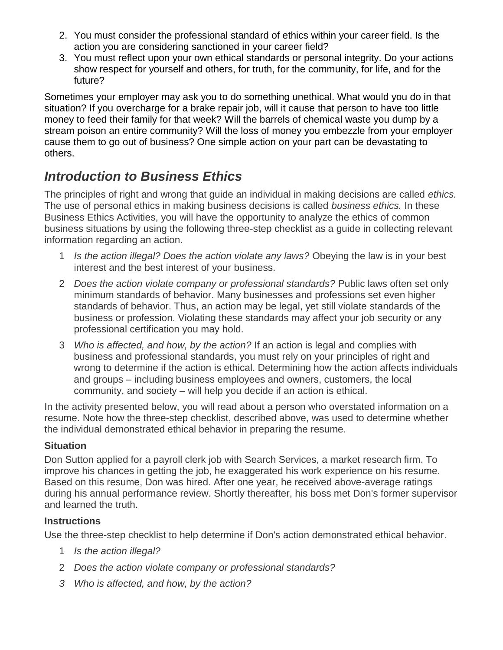- 2. You must consider the professional standard of ethics within your career field. Is the action you are considering sanctioned in your career field?
- 3. You must reflect upon your own ethical standards or personal integrity. Do your actions show respect for yourself and others, for truth, for the community, for life, and for the future?

Sometimes your employer may ask you to do something unethical. What would you do in that situation? If you overcharge for a brake repair job, will it cause that person to have too little money to feed their family for that week? Will the barrels of chemical waste you dump by a stream poison an entire community? Will the loss of money you embezzle from your employer cause them to go out of business? One simple action on your part can be devastating to others.

# *Introduction to Business Ethics*

The principles of right and wrong that guide an individual in making decisions are called *ethics.*  The use of personal ethics in making business decisions is called *business ethics.* In these Business Ethics Activities, you will have the opportunity to analyze the ethics of common business situations by using the following three-step checklist as a guide in collecting relevant information regarding an action.

- 1 *Is the action illegal? Does the action violate any laws?* Obeying the law is in your best interest and the best interest of your business.
- 2 *Does the action violate company or professional standards?* Public laws often set only minimum standards of behavior. Many businesses and professions set even higher standards of behavior. Thus, an action may be legal, yet still violate standards of the business or profession. Violating these standards may affect your job security or any professional certification you may hold.
- 3 *Who is affected, and how, by the action?* If an action is legal and complies with business and professional standards, you must rely on your principles of right and wrong to determine if the action is ethical. Determining how the action affects individuals and groups – including business employees and owners, customers, the local community, and society – will help you decide if an action is ethical.

In the activity presented below, you will read about a person who overstated information on a resume. Note how the three-step checklist, described above, was used to determine whether the individual demonstrated ethical behavior in preparing the resume.

### **Situation**

Don Sutton applied for a payroll clerk job with Search Services, a market research firm. To improve his chances in getting the job, he exaggerated his work experience on his resume. Based on this resume, Don was hired. After one year, he received above-average ratings during his annual performance review. Shortly thereafter, his boss met Don's former supervisor and learned the truth.

#### **Instructions**

Use the three-step checklist to help determine if Don's action demonstrated ethical behavior.

- 1 *Is the action illegal?*
- 2 *Does the action violate company or professional standards?*
- *3 Who is affected, and how, by the action?*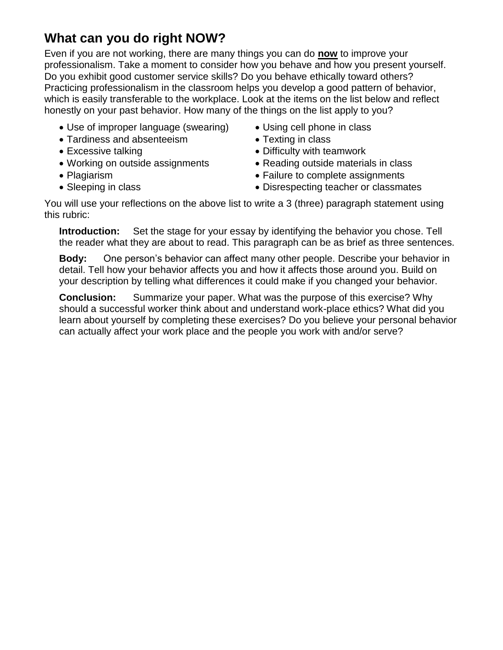# **What can you do right NOW?**

Even if you are not working, there are many things you can do **now** to improve your professionalism. Take a moment to consider how you behave and how you present yourself. Do you exhibit good customer service skills? Do you behave ethically toward others? Practicing professionalism in the classroom helps you develop a good pattern of behavior, which is easily transferable to the workplace. Look at the items on the list below and reflect honestly on your past behavior. How many of the things on the list apply to you?

- Use of improper language (swearing) Using cell phone in class
- Tardiness and absenteeism Texting in class
- 
- 
- 
- 
- 
- 
- Excessive talking **Excessive talking Difficulty** with teamwork
- Working on outside assignments Reading outside materials in class
- Plagiarism **Failure to complete assignments** Failure to complete assignments
- Sleeping in class **Contract Contract Contract Contract Contract Contract Contract Contract Contract Contract Contract Contract Contract Contract Contract Contract Contract Contract Contract Contract Contract Contract Con**

You will use your reflections on the above list to write a 3 (three) paragraph statement using this rubric:

**Introduction:** Set the stage for your essay by identifying the behavior you chose. Tell the reader what they are about to read. This paragraph can be as brief as three sentences.

**Body:** One person's behavior can affect many other people. Describe your behavior in detail. Tell how your behavior affects you and how it affects those around you. Build on your description by telling what differences it could make if you changed your behavior.

**Conclusion:** Summarize your paper. What was the purpose of this exercise? Why should a successful worker think about and understand work-place ethics? What did you learn about yourself by completing these exercises? Do you believe your personal behavior can actually affect your work place and the people you work with and/or serve?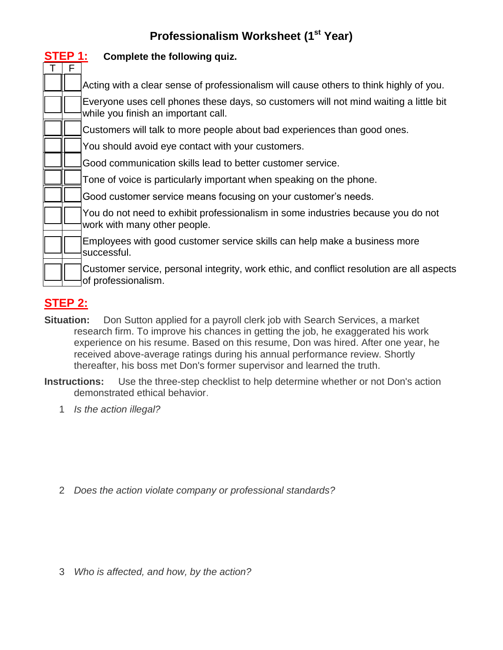### **Professionalism Worksheet (1st Year)**

| STEP 1: | Complete the following quiz.                                                                                                 |
|---------|------------------------------------------------------------------------------------------------------------------------------|
|         | Acting with a clear sense of professionalism will cause others to think highly of you.                                       |
|         | Everyone uses cell phones these days, so customers will not mind waiting a little bit<br>while you finish an important call. |
|         | Customers will talk to more people about bad experiences than good ones.                                                     |
|         | You should avoid eye contact with your customers.                                                                            |
|         | Good communication skills lead to better customer service.                                                                   |
|         | Tone of voice is particularly important when speaking on the phone.                                                          |
|         | Good customer service means focusing on your customer's needs.                                                               |
|         | You do not need to exhibit professionalism in some industries because you do not<br>work with many other people.             |
|         | Employees with good customer service skills can help make a business more<br>successful.                                     |
|         | Customer service, personal integrity, work ethic, and conflict resolution are all aspects<br>of professionalism.             |

## **STEP 2:**

- **Situation:** Don Sutton applied for a payroll clerk job with Search Services, a market research firm. To improve his chances in getting the job, he exaggerated his work experience on his resume. Based on this resume, Don was hired. After one year, he received above-average ratings during his annual performance review. Shortly thereafter, his boss met Don's former supervisor and learned the truth.
- **Instructions:** Use the three-step checklist to help determine whether or not Don's action demonstrated ethical behavior.
	- 1 *Is the action illegal?*

2 *Does the action violate company or professional standards?*

3 *Who is affected, and how, by the action?*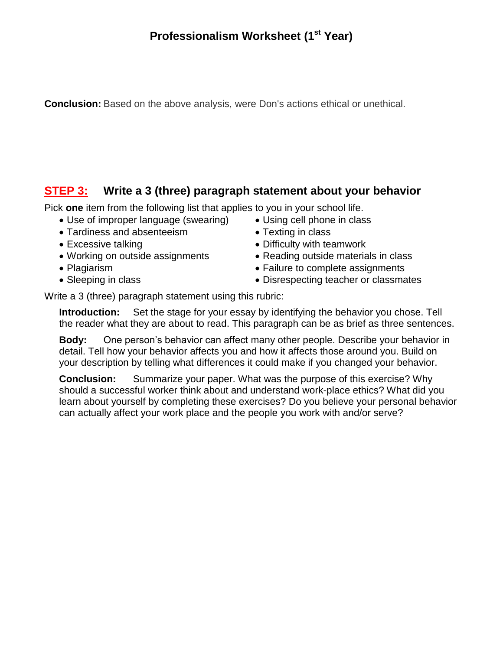**Conclusion:** Based on the above analysis, were Don's actions ethical or unethical.

### **STEP 3: Write a 3 (three) paragraph statement about your behavior**

Pick **one** item from the following list that applies to you in your school life.

- Use of improper language (swearing) Using cell phone in class
- Tardiness and absenteeism Texting in class
- 
- 
- 
- 
- 
- 
- Excessive talking **Excessive talking Bullet Properties •** Difficulty with teamwork
- Working on outside assignments Reading outside materials in class
- Plagiarism **Failure to complete assignments** Failure to complete assignments
- Sleeping in class **Contract Contract Contract Contract Contract Contract Contract Contract Contract Contract Contract Contract Contract Contract Contract Contract Contract Contract Contract Contract Contract Contract Con**

Write a 3 (three) paragraph statement using this rubric:

**Introduction:** Set the stage for your essay by identifying the behavior you chose. Tell the reader what they are about to read. This paragraph can be as brief as three sentences.

**Body:** One person's behavior can affect many other people. Describe your behavior in detail. Tell how your behavior affects you and how it affects those around you. Build on your description by telling what differences it could make if you changed your behavior.

**Conclusion:** Summarize your paper. What was the purpose of this exercise? Why should a successful worker think about and understand work-place ethics? What did you learn about yourself by completing these exercises? Do you believe your personal behavior can actually affect your work place and the people you work with and/or serve?